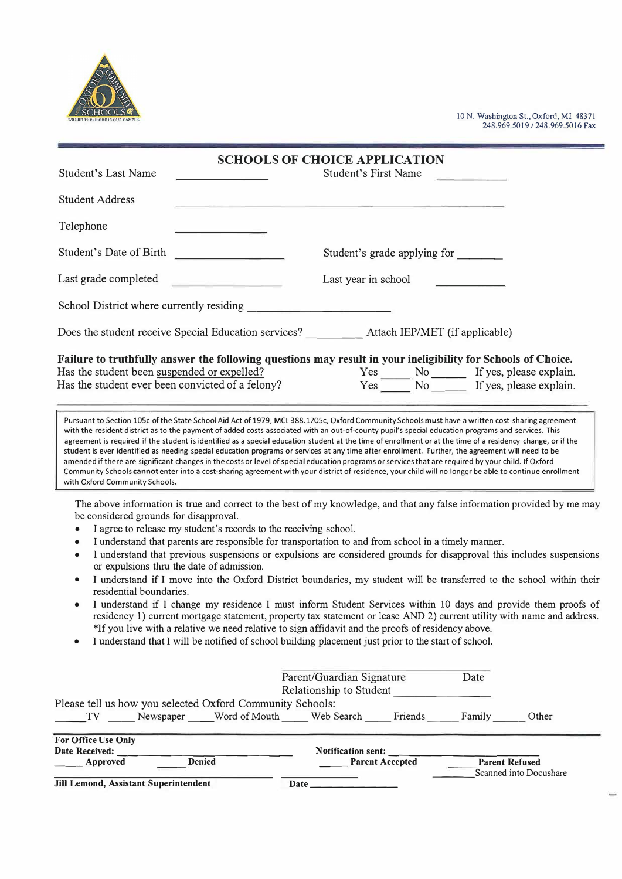

10 N. Washington St., Oxford, MI 48371 248.969.5019 / 248.969.5016 Fax

 $\overline{\phantom{a}}$ 

| <b>Student's Last Name</b>                                                                                                                                                                                                                                                                  |                                                                                                                                                                                                                                                                                                                                                                                                                                                                                                                                                                                                                                                                                                                                                                                                                                                                                                                                                                                                                                                                         | <b>SCHOOLS OF CHOICE APPLICATION</b><br><b>Student's First Name</b> |                        |  |                                                                  |
|---------------------------------------------------------------------------------------------------------------------------------------------------------------------------------------------------------------------------------------------------------------------------------------------|-------------------------------------------------------------------------------------------------------------------------------------------------------------------------------------------------------------------------------------------------------------------------------------------------------------------------------------------------------------------------------------------------------------------------------------------------------------------------------------------------------------------------------------------------------------------------------------------------------------------------------------------------------------------------------------------------------------------------------------------------------------------------------------------------------------------------------------------------------------------------------------------------------------------------------------------------------------------------------------------------------------------------------------------------------------------------|---------------------------------------------------------------------|------------------------|--|------------------------------------------------------------------|
| <b>Student Address</b>                                                                                                                                                                                                                                                                      |                                                                                                                                                                                                                                                                                                                                                                                                                                                                                                                                                                                                                                                                                                                                                                                                                                                                                                                                                                                                                                                                         |                                                                     |                        |  |                                                                  |
| Telephone                                                                                                                                                                                                                                                                                   |                                                                                                                                                                                                                                                                                                                                                                                                                                                                                                                                                                                                                                                                                                                                                                                                                                                                                                                                                                                                                                                                         |                                                                     |                        |  |                                                                  |
| Student's Date of Birth                                                                                                                                                                                                                                                                     | Student's grade applying for                                                                                                                                                                                                                                                                                                                                                                                                                                                                                                                                                                                                                                                                                                                                                                                                                                                                                                                                                                                                                                            |                                                                     |                        |  |                                                                  |
| Last grade completed                                                                                                                                                                                                                                                                        | Last year in school                                                                                                                                                                                                                                                                                                                                                                                                                                                                                                                                                                                                                                                                                                                                                                                                                                                                                                                                                                                                                                                     |                                                                     |                        |  |                                                                  |
| School District where currently residing                                                                                                                                                                                                                                                    |                                                                                                                                                                                                                                                                                                                                                                                                                                                                                                                                                                                                                                                                                                                                                                                                                                                                                                                                                                                                                                                                         |                                                                     |                        |  |                                                                  |
|                                                                                                                                                                                                                                                                                             |                                                                                                                                                                                                                                                                                                                                                                                                                                                                                                                                                                                                                                                                                                                                                                                                                                                                                                                                                                                                                                                                         |                                                                     |                        |  |                                                                  |
| Failure to truthfully answer the following questions may result in your ineligibility for Schools of Choice.<br>Has the student been suspended or expelled?<br>Has the student ever been convicted of a felony?<br>with Oxford Community Schools.<br>be considered grounds for disapproval. | Pursuant to Section 105c of the State School Aid Act of 1979, MCL 388.1705c, Oxford Community Schools must have a written cost-sharing agreement<br>with the resident district as to the payment of added costs associated with an out-of-county pupil's special education programs and services. This<br>agreement is required if the student is identified as a special education student at the time of enrollment or at the time of a residency change, or if the<br>student is ever identified as needing special education programs or services at any time after enrollment. Further, the agreement will need to be<br>amended if there are significant changes in the costs or level of special education programs or services that are required by your child. If Oxford<br>Community Schools cannot enter into a cost-sharing agreement with your district of residence, your child will no longer be able to continue enrollment<br>The above information is true and correct to the best of my knowledge, and that any false information provided by me may |                                                                     |                        |  | Yes No If yes, please explain.<br>Yes No If yes, please explain. |
| residential boundaries.                                                                                                                                                                                                                                                                     | I agree to release my student's records to the receiving school.<br>I understand that parents are responsible for transportation to and from school in a timely manner.<br>I understand that previous suspensions or expulsions are considered grounds for disapproval this includes suspensions<br>or expulsions thru the date of admission.<br>I understand if I move into the Oxford District boundaries, my student will be transferred to the school within their<br>I understand if I change my residence I must inform Student Services within 10 days and provide them proofs of<br>residency 1) current mortgage statement, property tax statement or lease AND 2) current utility with name and address.<br>*If you live with a relative we need relative to sign affidavit and the proofs of residency above.<br>I understand that I will be notified of school building placement just prior to the start of school.                                                                                                                                        |                                                                     |                        |  |                                                                  |
| Parent/Guardian Signature<br>Date<br>Relationship to Student<br>Please tell us how you selected Oxford Community Schools:<br>TV _______ Newspaper ______ Word of Mouth ______ Web Search ______ Friends _______ Family                                                                      |                                                                                                                                                                                                                                                                                                                                                                                                                                                                                                                                                                                                                                                                                                                                                                                                                                                                                                                                                                                                                                                                         |                                                                     |                        |  |                                                                  |
|                                                                                                                                                                                                                                                                                             |                                                                                                                                                                                                                                                                                                                                                                                                                                                                                                                                                                                                                                                                                                                                                                                                                                                                                                                                                                                                                                                                         |                                                                     |                        |  | Other                                                            |
| For Office Use Only                                                                                                                                                                                                                                                                         |                                                                                                                                                                                                                                                                                                                                                                                                                                                                                                                                                                                                                                                                                                                                                                                                                                                                                                                                                                                                                                                                         |                                                                     |                        |  |                                                                  |
| Date Received: __                                                                                                                                                                                                                                                                           |                                                                                                                                                                                                                                                                                                                                                                                                                                                                                                                                                                                                                                                                                                                                                                                                                                                                                                                                                                                                                                                                         | Notification sent:                                                  |                        |  | <b>Parent Refused</b>                                            |
| <b>Example 2</b> Approved                                                                                                                                                                                                                                                                   | <b>Denied</b>                                                                                                                                                                                                                                                                                                                                                                                                                                                                                                                                                                                                                                                                                                                                                                                                                                                                                                                                                                                                                                                           |                                                                     | <b>Parent Accepted</b> |  | Scanned into Docushare                                           |

**Jill Lemond, Assistant Superintendent Date \_\_\_\_\_\_\_\_**